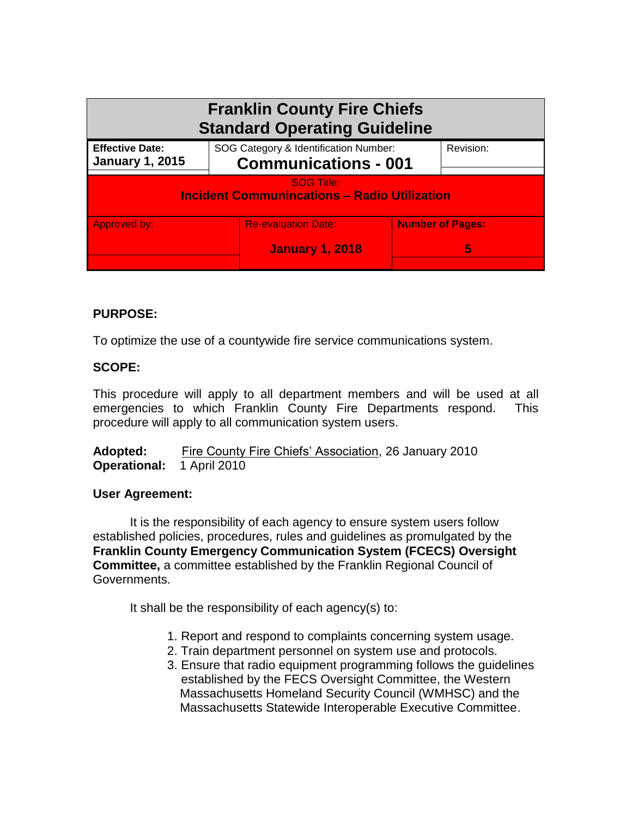| <b>Franklin County Fire Chiefs</b><br><b>Standard Operating Guideline</b> |                                                                      |                              |           |  |
|---------------------------------------------------------------------------|----------------------------------------------------------------------|------------------------------|-----------|--|
| <b>Effective Date:</b><br><b>January 1, 2015</b>                          | SOG Category & Identification Number:<br><b>Communications - 001</b> |                              | Revision: |  |
| <b>SOG Title:</b><br><b>Incident Communincations - Radio Utilization</b>  |                                                                      |                              |           |  |
| Approved by:                                                              | <b>Re-evaluation Date:</b><br><b>January 1, 2018</b>                 | <b>Number of Pages:</b><br>5 |           |  |
|                                                                           |                                                                      |                              |           |  |

# **PURPOSE:**

To optimize the use of a countywide fire service communications system.

## **SCOPE:**

This procedure will apply to all department members and will be used at all emergencies to which Franklin County Fire Departments respond. This procedure will apply to all communication system users.

| Adopted:                         | Fire County Fire Chiefs' Association, 26 January 2010 |
|----------------------------------|-------------------------------------------------------|
| <b>Operational: 1 April 2010</b> |                                                       |

### **User Agreement:**

It is the responsibility of each agency to ensure system users follow established policies, procedures, rules and guidelines as promulgated by the **Franklin County Emergency Communication System (FCECS) Oversight Committee,** a committee established by the Franklin Regional Council of Governments.

It shall be the responsibility of each agency(s) to:

- 1. Report and respond to complaints concerning system usage.
- 2. Train department personnel on system use and protocols.
- 3. Ensure that radio equipment programming follows the guidelines established by the FECS Oversight Committee, the Western Massachusetts Homeland Security Council (WMHSC) and the Massachusetts Statewide Interoperable Executive Committee.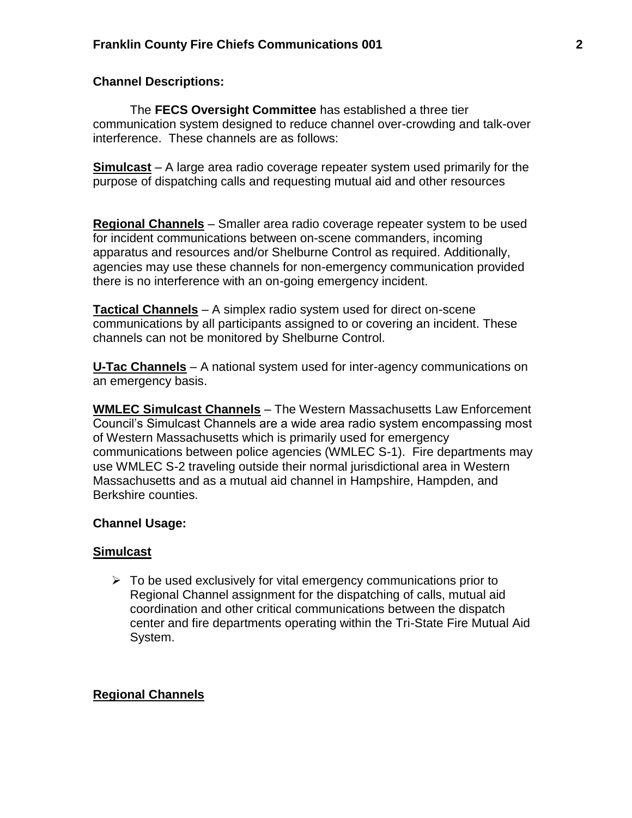## **Channel Descriptions:**

The **FECS Oversight Committee** has established a three tier communication system designed to reduce channel over-crowding and talk-over interference. These channels are as follows:

**Simulcast** – A large area radio coverage repeater system used primarily for the purpose of dispatching calls and requesting mutual aid and other resources

**Regional Channels** – Smaller area radio coverage repeater system to be used for incident communications between on-scene commanders, incoming apparatus and resources and/or Shelburne Control as required. Additionally, agencies may use these channels for non-emergency communication provided there is no interference with an on-going emergency incident.

**Tactical Channels** – A simplex radio system used for direct on-scene communications by all participants assigned to or covering an incident. These channels can not be monitored by Shelburne Control.

**U-Tac Channels** – A national system used for inter-agency communications on an emergency basis.

**WMLEC Simulcast Channels** – The Western Massachusetts Law Enforcement Council's Simulcast Channels are a wide area radio system encompassing most of Western Massachusetts which is primarily used for emergency communications between police agencies (WMLEC S-1). Fire departments may use WMLEC S-2 traveling outside their normal jurisdictional area in Western Massachusetts and as a mutual aid channel in Hampshire, Hampden, and Berkshire counties.

# **Channel Usage:**

# **Simulcast**

 $\triangleright$  To be used exclusively for vital emergency communications prior to Regional Channel assignment for the dispatching of calls, mutual aid coordination and other critical communications between the dispatch center and fire departments operating within the Tri-State Fire Mutual Aid System.

# **Regional Channels**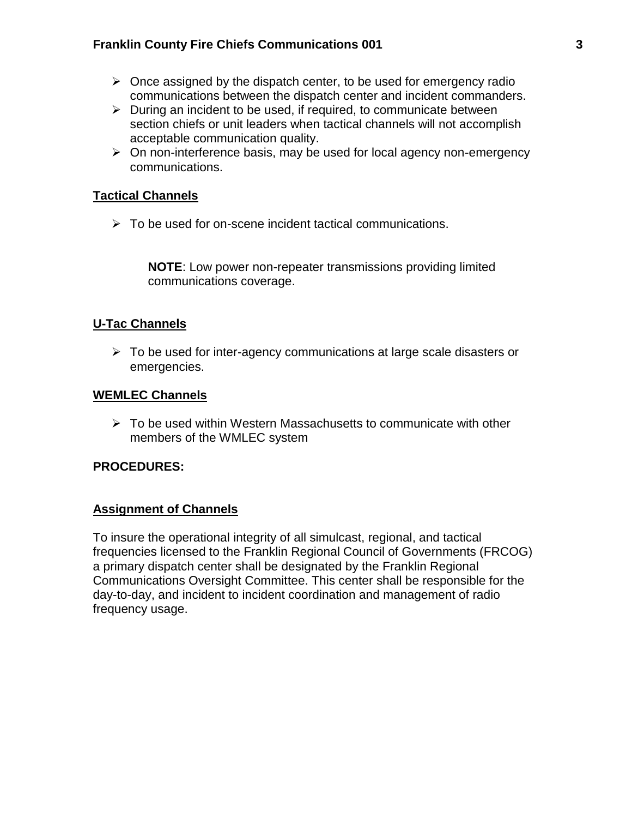- $\triangleright$  Once assigned by the dispatch center, to be used for emergency radio communications between the dispatch center and incident commanders.
- $\triangleright$  During an incident to be used, if required, to communicate between section chiefs or unit leaders when tactical channels will not accomplish acceptable communication quality.
- $\triangleright$  On non-interference basis, may be used for local agency non-emergency communications.

## **Tactical Channels**

 $\triangleright$  To be used for on-scene incident tactical communications.

**NOTE**: Low power non-repeater transmissions providing limited communications coverage.

## **U-Tac Channels**

 $\triangleright$  To be used for inter-agency communications at large scale disasters or emergencies.

### **WEMLEC Channels**

 $\triangleright$  To be used within Western Massachusetts to communicate with other members of the WMLEC system

## **PROCEDURES:**

## **Assignment of Channels**

To insure the operational integrity of all simulcast, regional, and tactical frequencies licensed to the Franklin Regional Council of Governments (FRCOG) a primary dispatch center shall be designated by the Franklin Regional Communications Oversight Committee. This center shall be responsible for the day-to-day, and incident to incident coordination and management of radio frequency usage.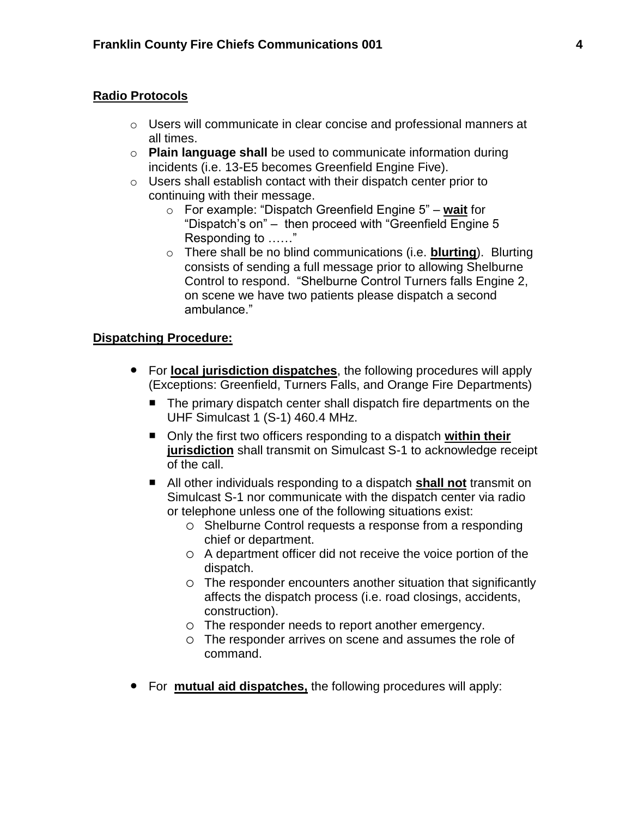## **Radio Protocols**

- $\circ$  Users will communicate in clear concise and professional manners at all times.
- o **Plain language shall** be used to communicate information during incidents (i.e. 13-E5 becomes Greenfield Engine Five).
- o Users shall establish contact with their dispatch center prior to continuing with their message.
	- o For example: "Dispatch Greenfield Engine 5" **wait** for "Dispatch's on" – then proceed with "Greenfield Engine 5 Responding to ……"
	- o There shall be no blind communications (i.e. **blurting**). Blurting consists of sending a full message prior to allowing Shelburne Control to respond. "Shelburne Control Turners falls Engine 2, on scene we have two patients please dispatch a second ambulance."

## **Dispatching Procedure:**

- For **local jurisdiction dispatches**, the following procedures will apply (Exceptions: Greenfield, Turners Falls, and Orange Fire Departments)
	- The primary dispatch center shall dispatch fire departments on the UHF Simulcast 1 (S-1) 460.4 MHz.
	- Only the first two officers responding to a dispatch within their **jurisdiction** shall transmit on Simulcast S-1 to acknowledge receipt of the call.
	- All other individuals responding to a dispatch **shall not** transmit on Simulcast S-1 nor communicate with the dispatch center via radio or telephone unless one of the following situations exist:
		- Shelburne Control requests a response from a responding chief or department.
		- A department officer did not receive the voice portion of the dispatch.
		- $\circ$  The responder encounters another situation that significantly affects the dispatch process (i.e. road closings, accidents, construction).
		- The responder needs to report another emergency.
		- The responder arrives on scene and assumes the role of command.
- For **mutual aid dispatches,** the following procedures will apply: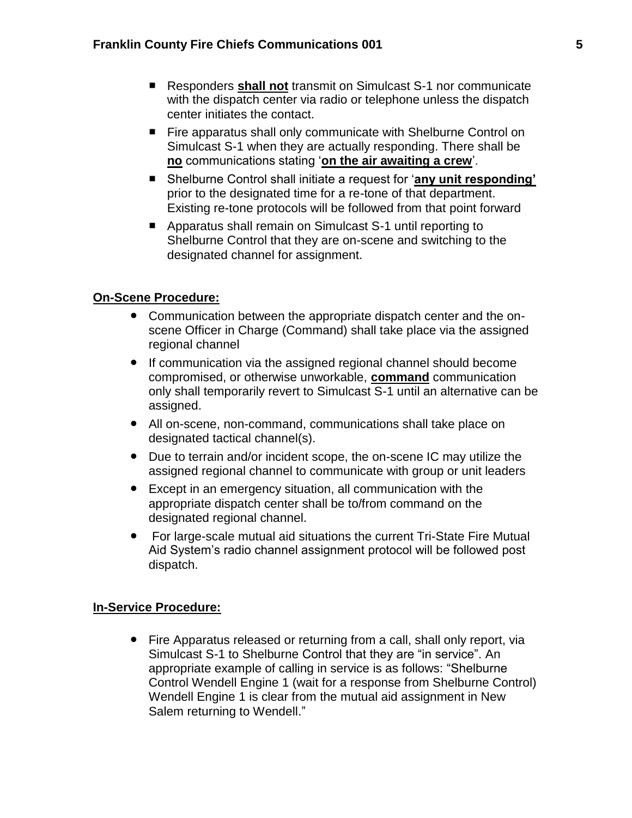- Responders **shall not** transmit on Simulcast S-1 nor communicate with the dispatch center via radio or telephone unless the dispatch center initiates the contact.
- Fire apparatus shall only communicate with Shelburne Control on Simulcast S-1 when they are actually responding. There shall be **no** communications stating '**on the air awaiting a crew**'.
- Shelburne Control shall initiate a request for 'any unit responding' prior to the designated time for a re-tone of that department. Existing re-tone protocols will be followed from that point forward
- Apparatus shall remain on Simulcast S-1 until reporting to Shelburne Control that they are on-scene and switching to the designated channel for assignment.

# **On-Scene Procedure:**

- Communication between the appropriate dispatch center and the onscene Officer in Charge (Command) shall take place via the assigned regional channel
- If communication via the assigned regional channel should become compromised, or otherwise unworkable, **command** communication only shall temporarily revert to Simulcast S-1 until an alternative can be assigned.
- All on-scene, non-command, communications shall take place on designated tactical channel(s).
- Due to terrain and/or incident scope, the on-scene IC may utilize the assigned regional channel to communicate with group or unit leaders
- Except in an emergency situation, all communication with the appropriate dispatch center shall be to/from command on the designated regional channel.
- For large-scale mutual aid situations the current Tri-State Fire Mutual Aid System's radio channel assignment protocol will be followed post dispatch.

### **In-Service Procedure:**

● Fire Apparatus released or returning from a call, shall only report, via Simulcast S-1 to Shelburne Control that they are "in service". An appropriate example of calling in service is as follows: "Shelburne Control Wendell Engine 1 (wait for a response from Shelburne Control) Wendell Engine 1 is clear from the mutual aid assignment in New Salem returning to Wendell."